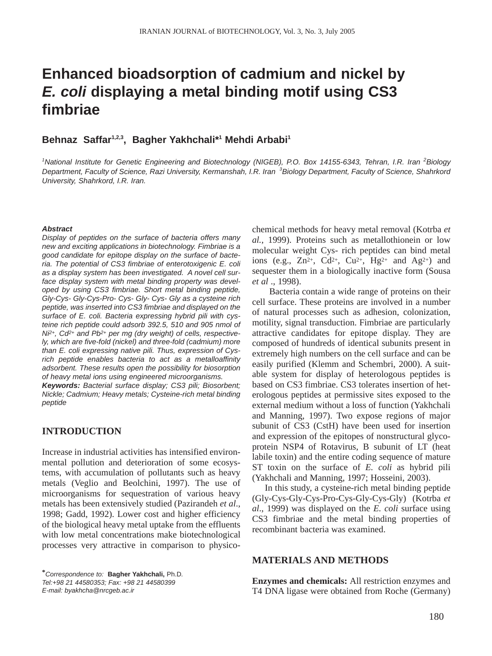# **Enhanced bioadsorption of cadmium and nickel by**  *E. coli* **displaying a metal binding motif using CS3 fimbriae**

# **Behnaz Saffar1,2,3, Bagher Yakhchali\*1 Mehdi Arbabi1**

<sup>1</sup> National Institute for Genetic Engineering and Biotechnology (NIGEB), P.O. Box 14155-6343, Tehran, I.R. Iran <sup>2</sup> Biology Department, Faculty of Science, Razi University, Kermanshah, I.R. Iran <sup>3</sup>Biology Department, Faculty of Science, Shahrkord *University, Shahrkord, I.R. Iran.* 

#### *Abstract*

*Display of peptides on the surface of bacteria offers many new and exciting applications in biotechnology. Fimbriae is a good candidate for epitope display on the surface of bacteria. The potential of CS3 fimbriae of enterotoxigenic E. coli as a display system has been investigated. A novel cell surface display system with metal binding property was developed by using CS3 fimbriae. Short metal binding peptide, Gly-Cys- Gly-Cys-Pro- Cys- Gly- Cys- Gly as a cysteine rich peptide, was inserted into CS3 fimbriae and displayed on the surface of E. coli. Bacteria expressing hybrid pili with cysteine rich peptide could adsorb 392.5, 510 and 905 nmol of Ni2+, Cd2+ and Pb2+ per mg (dry weight) of cells, respectively, which are five-fold (nickel) and three-fold (cadmium) more than E. coli expressing native pili. Thus, expression of Cysrich peptide enables bacteria to act as a metalloaffinity adsorbent. These results open the possibility for biosorption of heavy metal ions using engineered microorganisms.* 

*Keywords: Bacterial surface display; CS3 pili; Biosorbent; Nickle; Cadmium; Heavy metals; Cysteine-rich metal binding peptide* 

# **INTRODUCTION**

Increase in industrial activities has intensified environmental pollution and deterioration of some ecosystems, with accumulation of pollutants such as heavy metals (Veglio and Beolchini, 1997). The use of microorganisms for sequestration of various heavy metals has been extensively studied (Pazirandeh *et al*., 1998; Gadd, 1992). Lower cost and higher efficiency of the biological heavy metal uptake from the effluents with low metal concentrations make biotechnological processes very attractive in comparison to physicochemical methods for heavy metal removal (Kotrba *et al.*, 1999). Proteins such as metallothionein or low molecular weight Cys- rich peptides can bind metal ions (e.g.,  $Zn^{2+}$ ,  $Cd^{2+}$ ,  $Cu^{2+}$ ,  $Hg^{2+}$  and  $Ag^{2+}$ ) and sequester them in a biologically inactive form (Sousa *et al* ., 1998).

Bacteria contain a wide range of proteins on their cell surface. These proteins are involved in a number of natural processes such as adhesion, colonization, motility, signal transduction. Fimbriae are particularly attractive candidates for epitope display. They are composed of hundreds of identical subunits present in extremely high numbers on the cell surface and can be easily purified (Klemm and Schembri, 2000). A suitable system for display of heterologous peptides is based on CS3 fimbriae. CS3 tolerates insertion of heterologous peptides at permissive sites exposed to the external medium without a loss of function (Yakhchali and Manning, 1997). Two expose regions of major subunit of CS3 (CstH) have been used for insertion and expression of the epitopes of nonstructural glycoprotein NSP4 of Rotavirus, B subunit of LT (heat labile toxin) and the entire coding sequence of mature ST toxin on the surface of *E. coli* as hybrid pili (Yakhchali and Manning, 1997; Hosseini, 2003).

In this study, a cysteine-rich metal binding peptide (Gly-Cys-Gly-Cys-Pro-Cys-Gly-Cys-Gly) (Kotrba *et al*., 1999) was displayed on the *E. coli* surface using CS3 fimbriae and the metal binding properties of recombinant bacteria was examined.

### **MATERIALS AND METHODS**

**Enzymes and chemicals:** All restriction enzymes and T4 DNA ligase were obtained from Roche (Germany)

**<sup>\*</sup>***Correspondence to:* **Bagher Yakhchali,** Ph.D*.*

*Tel:+98 21 44580353; Fax: +98 21 44580399 E-mail: byakhcha@nrcgeb.ac.ir*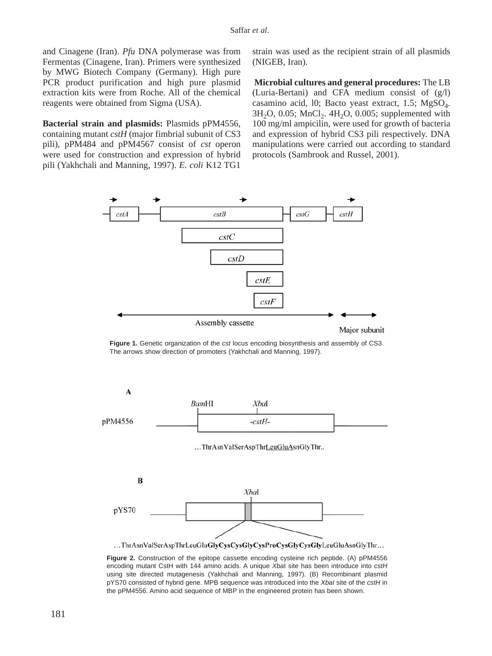and Cinagene (Iran). *Pfu* DNA polymerase was from Fermentas (Cinagene, Iran). Primers were synthesized by MWG Biotech Company (Germany). High pure PCR product purification and high pure plasmid extraction kits were from Roche. All of the chemical reagents were obtained from Sigma (USA).

**Bacterial strain and plasmids:** Plasmids pPM4556, containing mutant *cstH* (major fimbrial subunit of CS3 pili), pPM484 and pPM4567 consist of *cst* operon were used for construction and expression of hybrid pili (Yakhchali and Manning, 1997). *E. coli* K12 TG1 strain was used as the recipient strain of all plasmids (NIGEB, Iran).

**Microbial cultures and general procedures:** The LB (Luria-Bertani) and CFA medium consist of (g/l) casamino acid, 10; Bacto yeast extract, 1.5;  $MgSO<sub>4</sub>$ .  $3H<sub>2</sub>O$ ,  $0.05$ ;  $MnCl<sub>2</sub>$ .  $4H<sub>2</sub>O$ ,  $0.005$ ; supplemented with 100 mg/ml ampicilin, were used for growth of bacteria and expression of hybrid CS3 pili respectively. DNA manipulations were carried out according to standard protocols (Sambrook and Russel, 2001).



**Figure 1.** Genetic organization of the *cst* locus encoding biosynthesis and assembly of CS3. The arrows show direction of promoters (Yakhchali and Manning, 1997).



encoding mutant CstH with 144 amino acids. A unique *Xba*I site has been introduce into *cstH* using site directed mutagenesis (Yakhchali and Manning, 1997). (B) Recombinant plasmid pYS70 consisted of hybrid gene. MPB sequence was introduced into the *XbaI* site of the *cstH* in the pPM4556. Amino acid sequence of MBP in the engineered protein has been shown.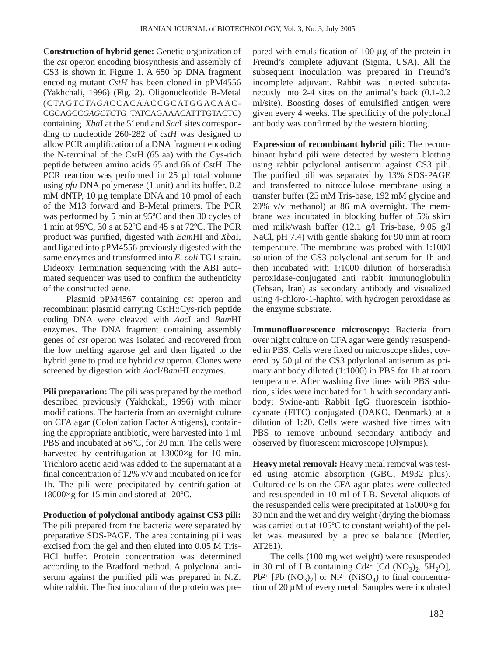**Construction of hybrid gene:** Genetic organization of the *cst* operon encoding biosynthesis and assembly of CS3 is shown in Figure 1. A 650 bp DNA fragment encoding mutant *CstH* has been cloned in pPM4556 (Yakhchali, 1996) (Fig. 2). Oligonucleotide B-Metal (CTAG*TCTAGA*CCACAACCGCATGGACAAC-CGCAGCC*GAGCTC*TG TATCAGAAACATTTGTACTC) containing *Xba*I at the 5*´* end and *Sac*I sites corresponding to nucleotide 260-282 of *cstH* was designed to allow PCR amplification of a DNA fragment encoding the N-terminal of the CstH (65 aa) with the Cys-rich peptide between amino acids 65 and 66 of CstH. The PCR reaction was performed in 25 µl total volume using *pfu* DNA polymerase (1 unit) and its buffer, 0.2 mM dNTP, 10 µg template DNA and 10 pmol of each of the M13 forward and B-Metal primers. The PCR was performed by 5 min at 95ºC and then 30 cycles of 1 min at 95ºC, 30 s at 52ºC and 45 s at 72ºC. The PCR product was purified, digested with *Bam*HI and *Xba*I, and ligated into pPM4556 previously digested with the same enzymes and transformed into *E. coli* TG1 strain. Dideoxy Termination sequencing with the ABI automated sequencer was used to confirm the authenticity of the constructed gene.

Plasmid pPM4567 containing *cst* operon and recombinant plasmid carrying CstH::Cys-rich peptide coding DNA were cleaved with *Aoc*I and *Bam*HI enzymes. The DNA fragment containing assembly genes of *cst* operon was isolated and recovered from the low melting agarose gel and then ligated to the hybrid gene to produce hybrid *cst* operon. Clones were screened by digestion with *Aoc*I/*Bam*HI enzymes.

**Pili preparation:** The pili was prepared by the method described previously (Yakhckali, 1996) with minor modifications. The bacteria from an overnight culture on CFA agar (Colonization Factor Antigens), containing the appropriate antibiotic, were harvested into 1 ml PBS and incubated at 56ºC, for 20 min. The cells were harvested by centrifugation at 13000×g for 10 min. Trichloro acetic acid was added to the supernatant at a final concentration of 12% v/v and incubated on ice for 1h. The pili were precipitated by centrifugation at 18000×g for 15 min and stored at -20ºC.

**Production of polyclonal antibody against CS3 pili:** The pili prepared from the bacteria were separated by preparative SDS-PAGE. The area containing pili was excised from the gel and then eluted into 0.05 M Tris-HCl buffer. Protein concentration was determined according to the Bradford method. A polyclonal antiserum against the purified pili was prepared in N.Z. white rabbit. The first inoculum of the protein was prepared with emulsification of 100 µg of the protein in Freund's complete adjuvant (Sigma, USA). All the subsequent inoculation was prepared in Freund's incomplete adjuvant. Rabbit was injected subcutaneously into 2-4 sites on the animal's back (0.1-0.2 ml/site). Boosting doses of emulsified antigen were given every 4 weeks. The specificity of the polyclonal antibody was confirmed by the western blotting.

**Expression of recombinant hybrid pili:** The recombinant hybrid pili were detected by western blotting using rabbit polyclonal antiserum against CS3 pili. The purified pili was separated by 13% SDS-PAGE and transferred to nitrocellulose membrane using a transfer buffer (25 mM Tris-base, 192 mM glycine and 20% v/v methanol) at 86 mA overnight. The membrane was incubated in blocking buffer of 5% skim med milk/wash buffer (12.1 g/l Tris-base, 9.05 g/l NaCl, pH 7.4) with gentle shaking for 90 min at room temperature. The membrane was probed with 1:1000 solution of the CS3 polyclonal antiserum for 1h and then incubated with 1:1000 dilution of horseradish peroxidase-conjugated anti rabbit immunoglobulin (Tebsan, Iran) as secondary antibody and visualized using 4-chloro-1-haphtol with hydrogen peroxidase as the enzyme substrate.

**Immunofluorescence microscopy:** Bacteria from over night culture on CFA agar were gently resuspended in PBS. Cells were fixed on microscope slides, covered by 50 µl of the CS3 polyclonal antiserum as primary antibody diluted (1:1000) in PBS for 1h at room temperature. After washing five times with PBS solution, slides were incubated for 1 h with secondary antibody; Swine-anti Rabbit IgG fluorescein isothiocyanate (FITC) conjugated (DAKO, Denmark) at a dilution of 1:20. Cells were washed five times with PBS to remove unbound secondary antibody and observed by fluorescent microscope (Olympus).

**Heavy metal removal:** Heavy metal removal was tested using atomic absorption (GBC, M932 plus). Cultured cells on the CFA agar plates were collected and resuspended in 10 ml of LB. Several aliquots of the resuspended cells were precipitated at 15000×g for 30 min and the wet and dry weight (drying the biomass was carried out at 105ºC to constant weight) of the pellet was measured by a precise balance (Mettler, AT261).

The cells (100 mg wet weight) were resuspended in 30 ml of LB containing  $Cd^{2+}$  [Cd (NO<sub>3</sub>)<sub>2</sub>. 5H<sub>2</sub>O],  $Pb^{2+}$   $[Pb (NO_3)_2]$  or  $Ni^{2+} (NiSO_4)$  to final concentration of 20 µM of every metal. Samples were incubated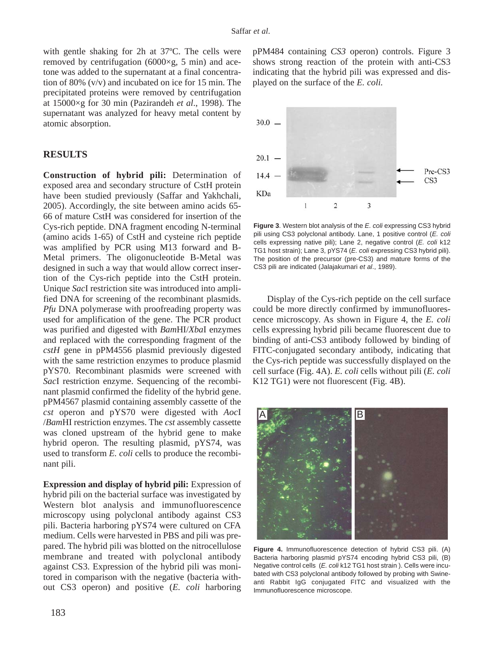with gentle shaking for 2h at 37ºC. The cells were removed by centrifugation  $(6000 \times g, 5 \text{ min})$  and acetone was added to the supernatant at a final concentration of 80% (v/v) and incubated on ice for 15 min. The precipitated proteins were removed by centrifugation at 15000×g for 30 min (Pazirandeh *et al*., 1998). The supernatant was analyzed for heavy metal content by atomic absorption.

# **RESULTS**

**Construction of hybrid pili:** Determination of exposed area and secondary structure of CstH protein have been studied previously (Saffar and Yakhchali, 2005). Accordingly, the site between amino acids 65- 66 of mature CstH was considered for insertion of the Cys-rich peptide. DNA fragment encoding N-terminal (amino acids 1-65) of CstH and cysteine rich peptide was amplified by PCR using M13 forward and B-Metal primers. The oligonucleotide B-Metal was designed in such a way that would allow correct insertion of the Cys-rich peptide into the CstH protein. Unique *Sac*I restriction site was introduced into amplified DNA for screening of the recombinant plasmids. *Pfu* DNA polymerase with proofreading property was used for amplification of the gene. The PCR product was purified and digested with *Bam*HI/*Xba*I enzymes and replaced with the corresponding fragment of the *cstH* gene in pPM4556 plasmid previously digested with the same restriction enzymes to produce plasmid pYS70. Recombinant plasmids were screened with *Sac*I restriction enzyme. Sequencing of the recombinant plasmid confirmed the fidelity of the hybrid gene. pPM4567 plasmid containing assembly cassette of the *cst* operon and pYS70 were digested with *Aoc*I /*Bam*HI restriction enzymes. The *cst* assembly cassette was cloned upstream of the hybrid gene to make hybrid operon. The resulting plasmid, pYS74, was used to transform *E. coli* cells to produce the recombinant pili.

**Expression and display of hybrid pili:** Expression of hybrid pili on the bacterial surface was investigated by Western blot analysis and immunofluorescence microscopy using polyclonal antibody against CS3 pili. Bacteria harboring pYS74 were cultured on CFA medium. Cells were harvested in PBS and pili was prepared. The hybrid pili was blotted on the nitrocellulose membrane and treated with polyclonal antibody against CS3. Expression of the hybrid pili was monitored in comparison with the negative (bacteria without CS3 operon) and positive (*E. coli* harboring pPM484 containing *CS3* operon) controls. Figure 3 shows strong reaction of the protein with anti-CS3 indicating that the hybrid pili was expressed and displayed on the surface of the *E. coli.*



**Figure 3**. Western blot analysis of the *E. coli* expressing CS3 hybrid pili using CS3 polyclonal antibody. Lane, 1 positive control (*E. coli* cells expressing native pili); Lane 2, negative control (*E. coli* k12 TG1 host strain); Lane 3, pYS74 (*E. coli* expressing CS3 hybrid pili). The position of the precursor (pre-CS3) and mature forms of the CS3 pili are indicated (Jalajakumari *et al*., 1989).

Display of the Cys-rich peptide on the cell surface could be more directly confirmed by immunofluorescence microscopy. As shown in Figure 4, the *E. coli* cells expressing hybrid pili became fluorescent due to binding of anti-CS3 antibody followed by binding of FITC-conjugated secondary antibody, indicating that the Cys-rich peptide was successfully displayed on the cell surface (Fig. 4A). *E. coli* cells without pili (*E. coli* K12 TG1) were not fluorescent (Fig. 4B).



**Figure 4.** Immunofluorescence detection of hybrid CS3 pili. (A) Bacteria harboring plasmid pYS74 encoding hybrid CS3 pili, (B) Negative control cells (*E. coli* k12 TG1 host strain ). Cells were incubated with CS3 polyclonal antibody followed by probing with Swineanti Rabbit IgG conjugated FITC and visualized with the Immunofluorescence microscope.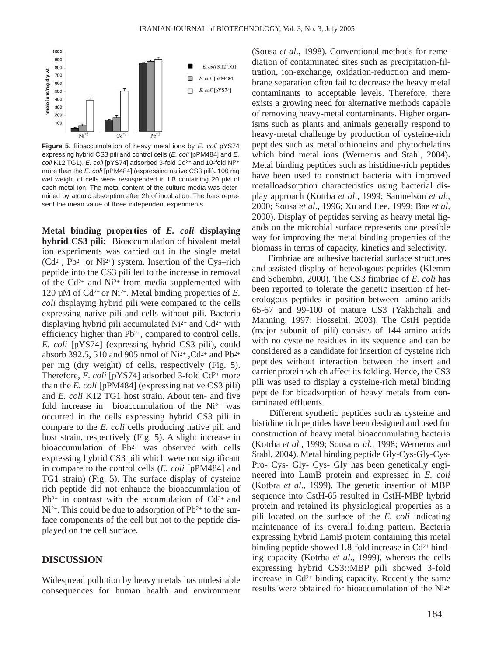

**Figure 5.** Bioaccumulation of heavy metal ions by *E. coli* pYS74 expressing hybrid CS3 pili and control cells (*E. coli* [pPM484] and *E. coli* K12 TG1). *E. coli* [pYS74] adsorbed 3-fold Cd2+ and 10-fold Ni2+ more than the *E. coli* [pPM484] (expressing native CS3 pili)**.** 100 mg wet weight of cells were resuspended in LB containing 20  $\mu$ M of each metal ion. The metal content of the culture media was determined by atomic absorption after 2h of incubation. The bars represent the mean value of three independent experiments.

**Metal binding properties of** *E. coli* **displaying hybrid CS3 pili:** Bioaccumulation of bivalent metal ion experiments was carried out in the single metal  $(Cd^{2+}$ , Pb<sup>2+</sup> or Ni<sup>2+</sup>) system. Insertion of the Cys–rich peptide into the CS3 pili led to the increase in removal of the  $Cd^{2+}$  and  $Ni^{2+}$  from media supplemented with 120 µM of Cd2+ or Ni2+. Metal binding properties of *E. coli* displaying hybrid pili were compared to the cells expressing native pili and cells without pili. Bacteria displaying hybrid pili accumulated  $Ni<sup>2+</sup>$  and  $Cd<sup>2+</sup>$  with efficiency higher than Pb2+, compared to control cells. *E. coli* [pYS74] (expressing hybrid CS3 pili), could absorb 392.5, 510 and 905 nmol of Ni2+ ,Cd2+ and Pb2+ per mg (dry weight) of cells, respectively (Fig. 5). Therefore, *E. coli* [pYS74] adsorbed 3-fold Cd<sup>2+</sup> more than the *E. coli* [pPM484] (expressing native CS3 pili) and *E. coli* K12 TG1 host strain**.** About ten- and five fold increase in bioaccumulation of the Ni2+ was occurred in the cells expressing hybrid CS3 pili in compare to the *E. coli* cells producing native pili and host strain, respectively (Fig. 5). A slight increase in bioaccumulation of Pb2+ was observed with cells expressing hybrid CS3 pili which were not significant in compare to the control cells (*E. coli* [pPM484] and TG1 strain) (Fig. 5). The surface display of cysteine rich peptide did not enhance the bioaccumulation of  $Pb^{2+}$  in contrast with the accumulation of Cd<sup>2+</sup> and Ni<sup>2+</sup>. This could be due to adsorption of Pb<sup>2+</sup> to the surface components of the cell but not to the peptide displayed on the cell surface.

#### **DISCUSSION**

Widespread pollution by heavy metals has undesirable consequences for human health and environment (Sousa *et al*., 1998). Conventional methods for remediation of contaminated sites such as precipitation-filtration, ion-exchange, oxidation-reduction and membrane separation often fail to decrease the heavy metal contaminants to acceptable levels. Therefore, there exists a growing need for alternative methods capable of removing heavy-metal contaminants. Higher organisms such as plants and animals generally respond to heavy-metal challenge by production of cysteine-rich peptides such as metallothioneins and phytochelatins which bind metal ions (Wernerus and Stahl, 2004)**.** Metal binding peptides such as histidine-rich peptides have been used to construct bacteria with improved metalloadsorption characteristics using bacterial display approach (Kotrba *et al*., 1999; Samuelson *et al*., 2000; Sousa *et al*., 1996; Xu and Lee, 1999; Bae *et al*, 2000). Display of peptides serving as heavy metal ligands on the microbial surface represents one possible way for improving the metal binding properties of the biomass in terms of capacity, kinetics and selectivity.

Fimbriae are adhesive bacterial surface structures and assisted display of heteologous peptides (Klemm and Schembri, 2000). The CS3 fimbriae of *E. coli* has been reported to tolerate the genetic insertion of heterologous peptides in position between amino acids 65-67 and 99-100 of mature CS3 (Yakhchali and Manning, 1997; Hosseini, 2003). The CstH peptide (major subunit of pili) consists of 144 amino acids with no cysteine residues in its sequence and can be considered as a candidate for insertion of cysteine rich peptides without interaction between the insert and carrier protein which affect its folding. Hence, the CS3 pili was used to display a cysteine-rich metal binding peptide for bioadsorption of heavy metals from contaminated effluents.

Different synthetic peptides such as cysteine and histidine rich peptides have been designed and used for construction of heavy metal bioaccumulating bacteria (Kotrba *et al*., 1999; Sousa *et al*., 1998; Wernerus and Stahl, 2004). Metal binding peptide Gly-Cys-Gly-Cys-Pro- Cys- Gly- Cys- Gly has been genetically engineered into LamB protein and expressed in *E. coli* (Kotbra *et al*., 1999). The genetic insertion of MBP sequence into CstH-65 resulted in CstH-MBP hybrid protein and retained its physiological properties as a pili located on the surface of the *E. coli* indicating maintenance of its overall folding pattern. Bacteria expressing hybrid LamB protein containing this metal binding peptide showed 1.8-fold increase in  $Cd^{2+}$  binding capacity (Kotrba *et al*., 1999), whereas the cells expressing hybrid CS3::MBP pili showed 3-fold increase in  $Cd^{2+}$  binding capacity. Recently the same results were obtained for bioaccumulation of the Ni2+